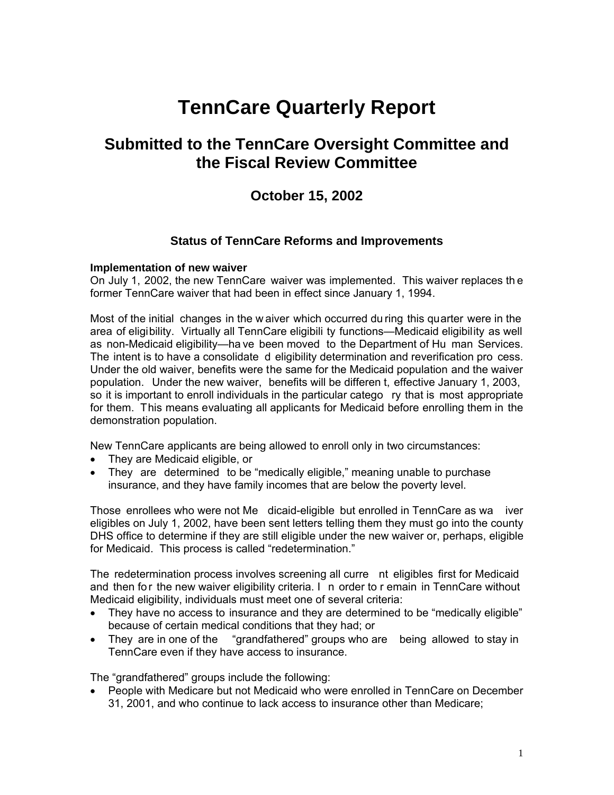# **TennCare Quarterly Report**

# **Submitted to the TennCare Oversight Committee and the Fiscal Review Committee**

## **October 15, 2002**

## **Status of TennCare Reforms and Improvements**

## **Implementation of new waiver**

On July 1, 2002, the new TennCare waiver was implemented. This waiver replaces th e former TennCare waiver that had been in effect since January 1, 1994.

Most of the initial changes in the w aiver which occurred du ring this quarter were in the area of eligibility. Virtually all TennCare eligibili ty functions—Medicaid eligibility as well as non-Medicaid eligibility—ha ve been moved to the Department of Hu man Services. The intent is to have a consolidate d eligibility determination and reverification pro cess. Under the old waiver, benefits were the same for the Medicaid population and the waiver population. Under the new waiver, benefits will be differen t, effective January 1, 2003, so it is important to enroll individuals in the particular catego ry that is most appropriate for them. This means evaluating all applicants for Medicaid before enrolling them in the demonstration population.

New TennCare applicants are being allowed to enroll only in two circumstances:

- They are Medicaid eligible, or
- They are determined to be "medically eligible," meaning unable to purchase insurance, and they have family incomes that are below the poverty level.

Those enrollees who were not Me dicaid-eligible but enrolled in TennCare as wa iver eligibles on July 1, 2002, have been sent letters telling them they must go into the county DHS office to determine if they are still eligible under the new waiver or, perhaps, eligible for Medicaid. This process is called "redetermination."

The redetermination process involves screening all curre nt eligibles first for Medicaid and then for the new waiver eligibility criteria. I n order to r emain in TennCare without Medicaid eligibility, individuals must meet one of several criteria:

- They have no access to insurance and they are determined to be "medically eligible" because of certain medical conditions that they had; or
- They are in one of the "grandfathered" groups who are being allowed to stay in TennCare even if they have access to insurance.

The "grandfathered" groups include the following:

• People with Medicare but not Medicaid who were enrolled in TennCare on December 31, 2001, and who continue to lack access to insurance other than Medicare;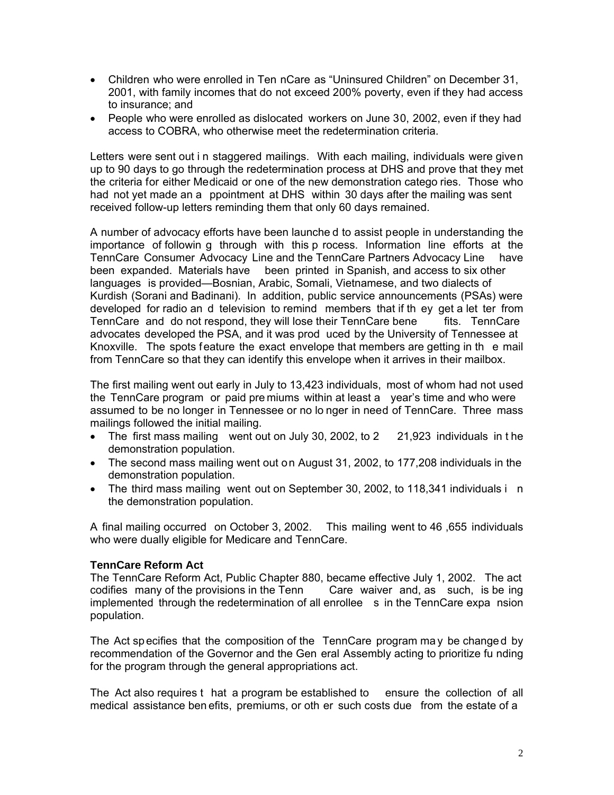- Children who were enrolled in Ten nCare as "Uninsured Children" on December 31, 2001, with family incomes that do not exceed 200% poverty, even if they had access to insurance; and
- People who were enrolled as dislocated workers on June 30, 2002, even if they had access to COBRA, who otherwise meet the redetermination criteria.

Letters were sent out i n staggered mailings. With each mailing, individuals were given up to 90 days to go through the redetermination process at DHS and prove that they met the criteria for either Medicaid or one of the new demonstration catego ries. Those who had not yet made an a ppointment at DHS within 30 days after the mailing was sent received follow-up letters reminding them that only 60 days remained.

A number of advocacy efforts have been launche d to assist people in understanding the importance of followin g through with this p rocess. Information line efforts at the TennCare Consumer Advocacy Line and the TennCare Partners Advocacy Line have been expanded. Materials have been printed in Spanish, and access to six other languages is provided—Bosnian, Arabic, Somali, Vietnamese, and two dialects of Kurdish (Sorani and Badinani). In addition, public service announcements (PSAs) were developed for radio an d television to remind members that if th ey get a let ter from TennCare and do not respond, they will lose their TennCare bene fits. TennCare advocates developed the PSA, and it was prod uced by the University of Tennessee at Knoxville. The spots feature the exact envelope that members are getting in th e mail from TennCare so that they can identify this envelope when it arrives in their mailbox.

The first mailing went out early in July to 13,423 individuals, most of whom had not used the TennCare program or paid pre miums within at least a year's time and who were assumed to be no longer in Tennessee or no lo nger in need of TennCare. Three mass mailings followed the initial mailing.

- The first mass mailing went out on July 30, 2002, to 2 21,923 individuals in the demonstration population.
- The second mass mailing went out on August 31, 2002, to 177,208 individuals in the demonstration population.
- The third mass mailing went out on September 30, 2002, to 118,341 individuals in the demonstration population.

A final mailing occurred on October 3, 2002. This mailing went to 46 ,655 individuals who were dually eligible for Medicare and TennCare.

## **TennCare Reform Act**

The TennCare Reform Act, Public Chapter 880, became effective July 1, 2002. The act codifies many of the provisions in the Tenn Care waiver and, as such, is be ing implemented through the redetermination of all enrollee s in the TennCare expa nsion population.

The Act sp ecifies that the composition of the TennCare program ma y be change d by recommendation of the Governor and the Gen eral Assembly acting to prioritize fu nding for the program through the general appropriations act.

The Act also requires t hat a program be established to ensure the collection of all medical assistance ben efits, premiums, or oth er such costs due from the estate of a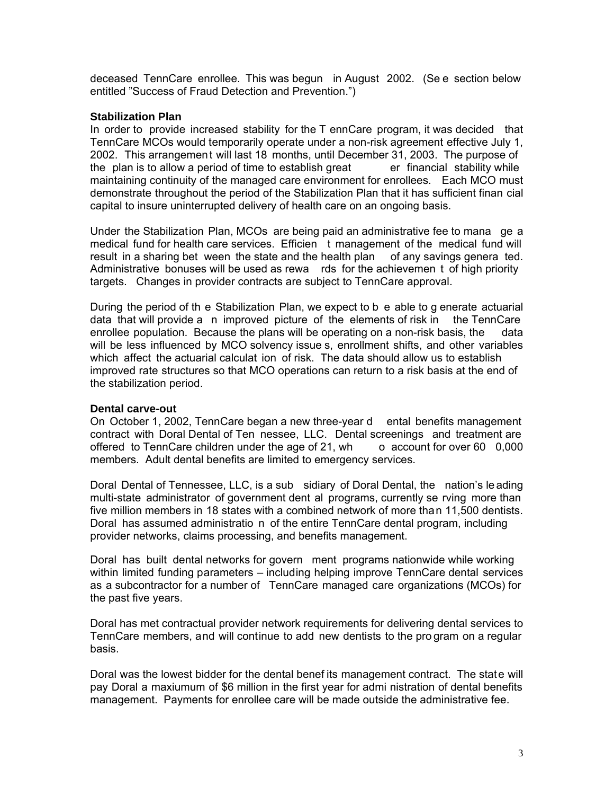deceased TennCare enrollee. This was begun in August 2002. (Se e section below entitled "Success of Fraud Detection and Prevention.")

## **Stabilization Plan**

In order to provide increased stability for the T ennCare program, it was decided that TennCare MCOs would temporarily operate under a non-risk agreement effective July 1, 2002. This arrangement will last 18 months, until December 31, 2003. The purpose of the plan is to allow a period of time to establish great er financial stability while maintaining continuity of the managed care environment for enrollees. Each MCO must demonstrate throughout the period of the Stabilization Plan that it has sufficient finan cial capital to insure uninterrupted delivery of health care on an ongoing basis.

Under the Stabilization Plan, MCOs are being paid an administrative fee to mana ge a medical fund for health care services. Efficien t management of the medical fund will result in a sharing bet ween the state and the health plan of any savings genera ted. Administrative bonuses will be used as rewa rds for the achievemen t of high priority targets. Changes in provider contracts are subject to TennCare approval.

During the period of th e Stabilization Plan, we expect to b e able to g enerate actuarial data that will provide a n improved picture of the elements of risk in the TennCare enrollee population. Because the plans will be operating on a non-risk basis, the data will be less influenced by MCO solvency issue s, enrollment shifts, and other variables which affect the actuarial calculat ion of risk. The data should allow us to establish improved rate structures so that MCO operations can return to a risk basis at the end of the stabilization period.

## **Dental carve-out**

On October 1, 2002, TennCare began a new three-year d ental benefits management contract with Doral Dental of Ten nessee, LLC. Dental screenings and treatment are offered to TennCare children under the age of 21, wh o account for over 60 0,000 members. Adult dental benefits are limited to emergency services.

Doral Dental of Tennessee, LLC, is a sub sidiary of Doral Dental, the nation's le ading multi-state administrator of government dent al programs, currently se rving more than five million members in 18 states with a combined network of more than 11,500 dentists. Doral has assumed administratio n of the entire TennCare dental program, including provider networks, claims processing, and benefits management.

Doral has built dental networks for govern ment programs nationwide while working within limited funding parameters – including helping improve TennCare dental services as a subcontractor for a number of TennCare managed care organizations (MCOs) for the past five years.

Doral has met contractual provider network requirements for delivering dental services to TennCare members, and will continue to add new dentists to the pro gram on a regular basis.

Doral was the lowest bidder for the dental benef its management contract. The state will pay Doral a maxiumum of \$6 million in the first year for admi nistration of dental benefits management. Payments for enrollee care will be made outside the administrative fee.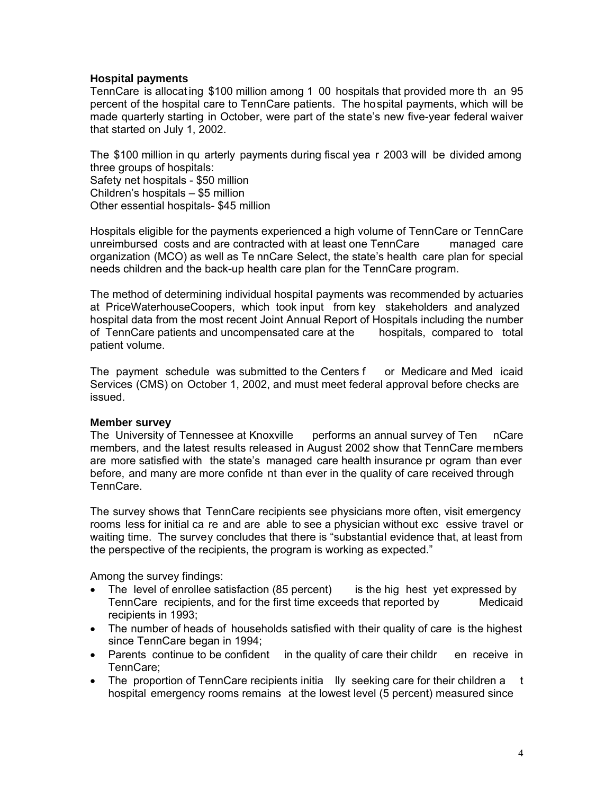## **Hospital payments**

TennCare is allocat ing \$100 million among 1 00 hospitals that provided more th an 95 percent of the hospital care to TennCare patients. The hospital payments, which will be made quarterly starting in October, were part of the state's new five-year federal waiver that started on July 1, 2002.

The \$100 million in qu arterly payments during fiscal yea r 2003 will be divided among three groups of hospitals: Safety net hospitals - \$50 million Children's hospitals – \$5 million Other essential hospitals- \$45 million

Hospitals eligible for the payments experienced a high volume of TennCare or TennCare unreimbursed costs and are contracted with at least one TennCare managed care organization (MCO) as well as Te nnCare Select, the state's health care plan for special needs children and the back-up health care plan for the TennCare program.

The method of determining individual hospital payments was recommended by actuaries at PriceWaterhouseCoopers, which took input from key stakeholders and analyzed hospital data from the most recent Joint Annual Report of Hospitals including the number of TennCare patients and uncompensated care at the hospitals, compared to total patient volume.

The payment schedule was submitted to the Centers f or Medicare and Med icaid Services (CMS) on October 1, 2002, and must meet federal approval before checks are issued.

## **Member survey**

The University of Tennessee at Knoxville performs an annual survey of Ten nCare members, and the latest results released in August 2002 show that TennCare members are more satisfied with the state's managed care health insurance pr ogram than ever before, and many are more confide nt than ever in the quality of care received through TennCare.

The survey shows that TennCare recipients see physicians more often, visit emergency rooms less for initial ca re and are able to see a physician without exc essive travel or waiting time. The survey concludes that there is "substantial evidence that, at least from the perspective of the recipients, the program is working as expected."

Among the survey findings:

- The level of enrollee satisfaction (85 percent) is the hig hest yet expressed by TennCare recipients, and for the first time exceeds that reported by Medicaid recipients in 1993;
- The number of heads of households satisfied with their quality of care is the highest since TennCare began in 1994;
- Parents continue to be confident in the quality of care their childr en receive in TennCare;
- The proportion of TennCare recipients initia Ily seeking care for their children a t hospital emergency rooms remains at the lowest level (5 percent) measured since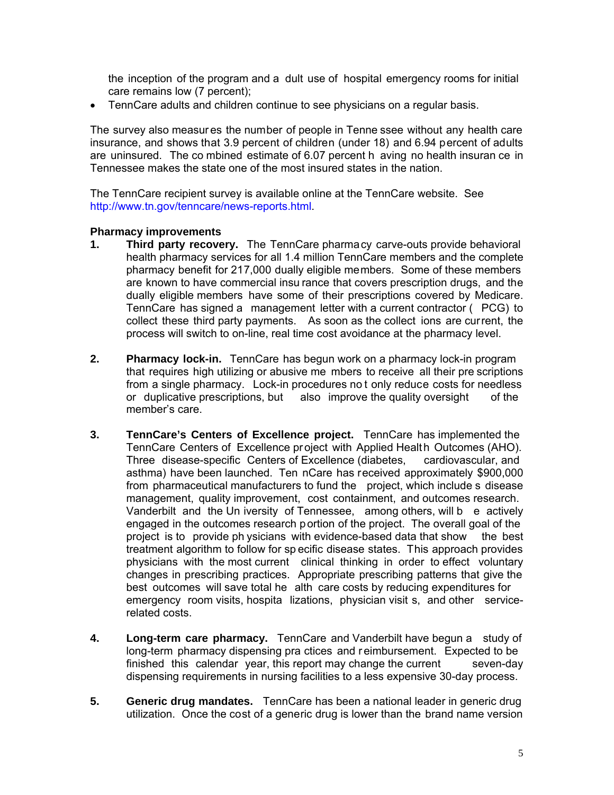the inception of the program and a dult use of hospital emergency rooms for initial care remains low (7 percent);

• TennCare adults and children continue to see physicians on a regular basis.

The survey also measur es the number of people in Tenne ssee without any health care insurance, and shows that 3.9 percent of children (under 18) and 6.94 percent of adults are uninsured. The co mbined estimate of 6.07 percent h aving no health insuran ce in Tennessee makes the state one of the most insured states in the nation.

The TennCare recipient survey is available online at the TennCare website. See http://www.tn.gov/tenncare/news-reports.html.

## **Pharmacy improvements**

- **1. Third party recovery.** The TennCare pharmacy carve-outs provide behavioral health pharmacy services for all 1.4 million TennCare members and the complete pharmacy benefit for 217,000 dually eligible members. Some of these members are known to have commercial insu rance that covers prescription drugs, and the dually eligible members have some of their prescriptions covered by Medicare. TennCare has signed a management letter with a current contractor ( PCG) to collect these third party payments. As soon as the collect ions are current, the process will switch to on-line, real time cost avoidance at the pharmacy level.
- **2. Pharmacy lock-in.** TennCare has begun work on a pharmacy lock-in program that requires high utilizing or abusive me mbers to receive all their pre scriptions from a single pharmacy. Lock-in procedures no t only reduce costs for needless or duplicative prescriptions, but also improve the quality oversight of the member's care.
- **3. TennCare's Centers of Excellence project.** TennCare has implemented the TennCare Centers of Excellence project with Applied Health Outcomes (AHO). Three disease-specific Centers of Excellence (diabetes, cardiovascular, and asthma) have been launched. Ten nCare has received approximately \$900,000 from pharmaceutical manufacturers to fund the project, which include s disease management, quality improvement, cost containment, and outcomes research. Vanderbilt and the Un iversity of Tennessee, among others, will b e actively engaged in the outcomes research portion of the project. The overall goal of the project is to provide ph ysicians with evidence-based data that show the best treatment algorithm to follow for sp ecific disease states. This approach provides physicians with the most current clinical thinking in order to effect voluntary changes in prescribing practices. Appropriate prescribing patterns that give the best outcomes will save total he alth care costs by reducing expenditures for emergency room visits, hospita lizations, physician visit s, and other servicerelated costs.
- **4. Long-term care pharmacy.** TennCare and Vanderbilt have begun a study of long-term pharmacy dispensing pra ctices and r eimbursement. Expected to be finished this calendar year, this report may change the current seven-day dispensing requirements in nursing facilities to a less expensive 30-day process.
- **5. Generic drug mandates.** TennCare has been a national leader in generic drug utilization. Once the cost of a generic drug is lower than the brand name version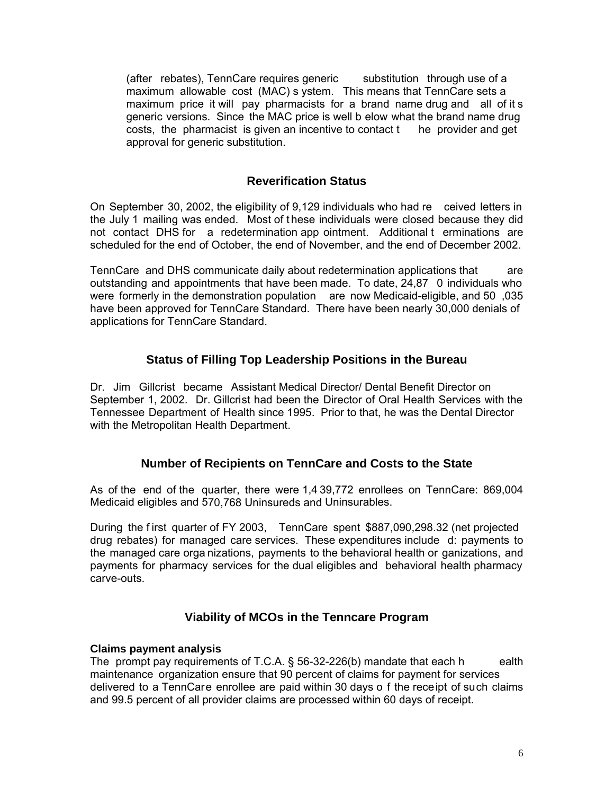(after rebates), TennCare requires generic substitution through use of a maximum allowable cost (MAC) s ystem. This means that TennCare sets a maximum price it will pay pharmacists for a brand name drug and all of it s generic versions. Since the MAC price is well b elow what the brand name drug costs, the pharmacist is given an incentive to contact t he provider and get approval for generic substitution.

## **Reverification Status**

On September 30, 2002, the eligibility of 9,129 individuals who had re ceived letters in the July 1 mailing was ended. Most of t hese individuals were closed because they did not contact DHS for a redetermination app ointment. Additional t erminations are scheduled for the end of October, the end of November, and the end of December 2002.

TennCare and DHS communicate daily about redetermination applications that are outstanding and appointments that have been made. To date, 24,87 0 individuals who were formerly in the demonstration population are now Medicaid-eligible, and 50 ,035 have been approved for TennCare Standard. There have been nearly 30,000 denials of applications for TennCare Standard.

## **Status of Filling Top Leadership Positions in the Bureau**

Dr. Jim Gillcrist became Assistant Medical Director/ Dental Benefit Director on September 1, 2002. Dr. Gillcrist had been the Director of Oral Health Services with the Tennessee Department of Health since 1995. Prior to that, he was the Dental Director with the Metropolitan Health Department.

## **Number of Recipients on TennCare and Costs to the State**

As of the end of the quarter, there were 1,4 39,772 enrollees on TennCare: 869,004 Medicaid eligibles and 570,768 Uninsureds and Uninsurables.

During the f irst quarter of FY 2003, TennCare spent \$887,090,298.32 (net projected drug rebates) for managed care services. These expenditures include d: payments to the managed care orga nizations, payments to the behavioral health or ganizations, and payments for pharmacy services for the dual eligibles and behavioral health pharmacy carve-outs.

## **Viability of MCOs in the Tenncare Program**

## **Claims payment analysis**

The prompt pay requirements of T.C.A.  $\S$  56-32-226(b) mandate that each health maintenance organization ensure that 90 percent of claims for payment for services delivered to a TennCare enrollee are paid within 30 days o f the receipt of such claims and 99.5 percent of all provider claims are processed within 60 days of receipt.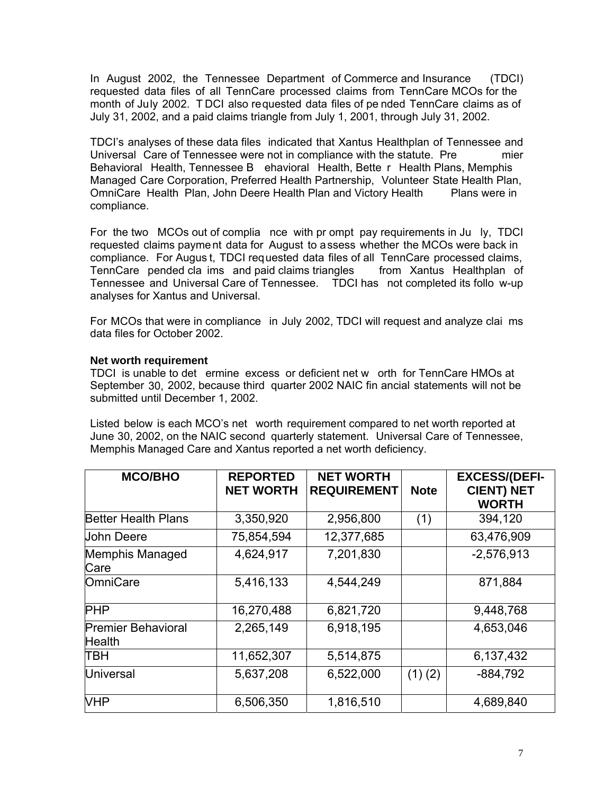In August 2002, the Tennessee Department of Commerce and Insurance (TDCI) requested data files of all TennCare processed claims from TennCare MCOs for the month of July 2002. T DCI also requested data files of pe nded TennCare claims as of July 31, 2002, and a paid claims triangle from July 1, 2001, through July 31, 2002.

TDCI's analyses of these data files indicated that Xantus Healthplan of Tennessee and Universal Care of Tennessee were not in compliance with the statute. Pre mier Behavioral Health, Tennessee B ehavioral Health, Bette r Health Plans, Memphis Managed Care Corporation, Preferred Health Partnership, Volunteer State Health Plan, OmniCare Health Plan, John Deere Health Plan and Victory Health Plans were in compliance.

For the two MCOs out of complia nce with pr ompt pay requirements in Ju ly, TDCI requested claims payment data for August to assess whether the MCOs were back in compliance. For Augus t, TDCI requested data files of all TennCare processed claims, TennCare pended cla ims and paid claims triangles from Xantus Healthplan of Tennessee and Universal Care of Tennessee. TDCI has not completed its follo w-up analyses for Xantus and Universal.

For MCOs that were in compliance in July 2002, TDCI will request and analyze clai ms data files for October 2002.

## **Net worth requirement**

TDCI is unable to det ermine excess or deficient net w orth for TennCare HMOs at September 30, 2002, because third quarter 2002 NAIC fin ancial statements will not be submitted until December 1, 2002.

Listed below is each MCO's net worth requirement compared to net worth reported at June 30, 2002, on the NAIC second quarterly statement. Universal Care of Tennessee, Memphis Managed Care and Xantus reported a net worth deficiency.

| <b>MCO/BHO</b>                      | <b>REPORTED</b><br><b>NET WORTH</b> | <b>NET WORTH</b><br><b>REQUIREMENT</b> | <b>Note</b> | <b>EXCESS/(DEFI-</b><br><b>CIENT) NET</b><br><b>WORTH</b> |  |
|-------------------------------------|-------------------------------------|----------------------------------------|-------------|-----------------------------------------------------------|--|
| <b>Better Health Plans</b>          | 3,350,920                           | 2,956,800                              | (1)         | 394,120                                                   |  |
| <b>John Deere</b>                   | 75,854,594                          | 12,377,685                             |             | 63,476,909                                                |  |
| Memphis Managed<br>Care             | 4,624,917                           | 7,201,830                              |             | $-2,576,913$                                              |  |
| OmniCare                            | 5,416,133                           | 4,544,249                              |             | 871,884                                                   |  |
| <b>PHP</b>                          | 16,270,488                          | 6,821,720                              |             | 9,448,768                                                 |  |
| <b>Premier Behavioral</b><br>Health | 2,265,149                           | 6,918,195                              |             | 4,653,046                                                 |  |
| ТВН                                 | 11,652,307                          | 5,514,875                              |             | 6,137,432                                                 |  |
| <b>Universal</b>                    | 5,637,208                           | 6,522,000                              | $(1)$ $(2)$ | $-884,792$                                                |  |
| <b>VHP</b>                          | 6,506,350                           | 1,816,510                              |             | 4,689,840                                                 |  |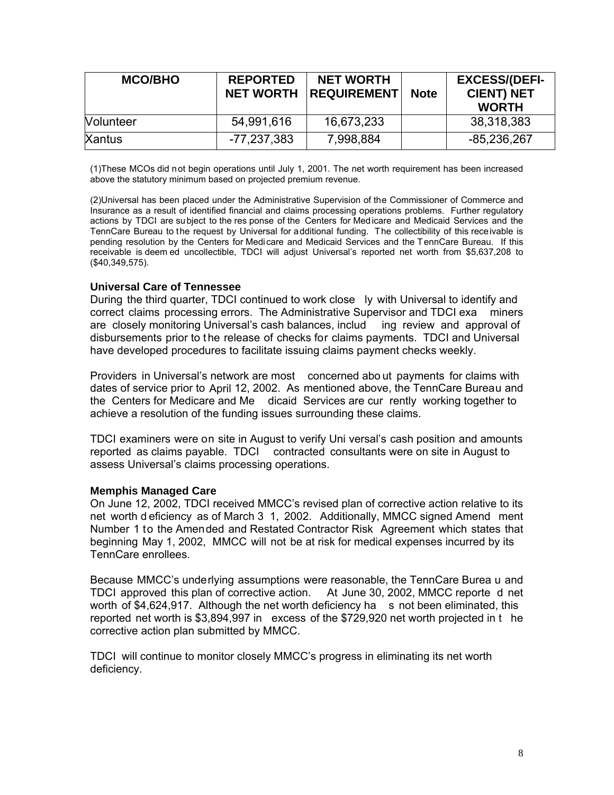| <b>MCO/BHO</b>   | <b>REPORTED</b><br><b>NET WORTH</b> | <b>NET WORTH</b><br><b>REQUIREMENT</b> | <b>Note</b> | <b>EXCESS/(DEFI-</b><br><b>CIENT) NET</b><br><b>WORTH</b> |
|------------------|-------------------------------------|----------------------------------------|-------------|-----------------------------------------------------------|
| <b>Nolunteer</b> | 54,991,616                          | 16,673,233                             |             | 38,318,383                                                |
| <b>Xantus</b>    | -77,237,383                         | 7,998,884                              |             | -85,236,267                                               |

(1)These MCOs did not begin operations until July 1, 2001. The net worth requirement has been increased above the statutory minimum based on projected premium revenue.

(2)Universal has been placed under the Administrative Supervision of the Commissioner of Commerce and Insurance as a result of identified financial and claims processing operations problems. Further regulatory actions by TDCI are subject to the res ponse of the Centers for Medicare and Medicaid Services and the TennCare Bureau to the request by Universal for additional funding. The collectibility of this receivable is pending resolution by the Centers for Medicare and Medicaid Services and the TennCare Bureau. If this receivable is deem ed uncollectible, TDCI will adjust Universal's reported net worth from \$5,637,208 to (\$40,349,575).

## **Universal Care of Tennessee**

During the third quarter, TDCI continued to work close ly with Universal to identify and correct claims processing errors. The Administrative Supervisor and TDCI exa miners are closely monitoring Universal's cash balances, includ ing review and approval of disbursements prior to the release of checks for claims payments. TDCI and Universal have developed procedures to facilitate issuing claims payment checks weekly.

Providers in Universal's network are most concerned abo ut payments for claims with dates of service prior to April 12, 2002. As mentioned above, the TennCare Bureau and the Centers for Medicare and Me dicaid Services are cur rently working together to achieve a resolution of the funding issues surrounding these claims.

TDCI examiners were on site in August to verify Uni versal's cash position and amounts reported as claims payable. TDCI contracted consultants were on site in August to assess Universal's claims processing operations.

#### **Memphis Managed Care**

On June 12, 2002, TDCI received MMCC's revised plan of corrective action relative to its net worth d eficiency as of March 3 1, 2002. Additionally, MMCC signed Amend ment Number 1 to the Amended and Restated Contractor Risk Agreement which states that beginning May 1, 2002, MMCC will not be at risk for medical expenses incurred by its TennCare enrollees.

Because MMCC's underlying assumptions were reasonable, the TennCare Burea u and TDCI approved this plan of corrective action. At June 30, 2002, MMCC reporte d net worth of \$4,624,917. Although the net worth deficiency ha s not been eliminated, this reported net worth is \$3,894,997 in excess of the \$729,920 net worth projected in t he corrective action plan submitted by MMCC.

TDCI will continue to monitor closely MMCC's progress in eliminating its net worth deficiency.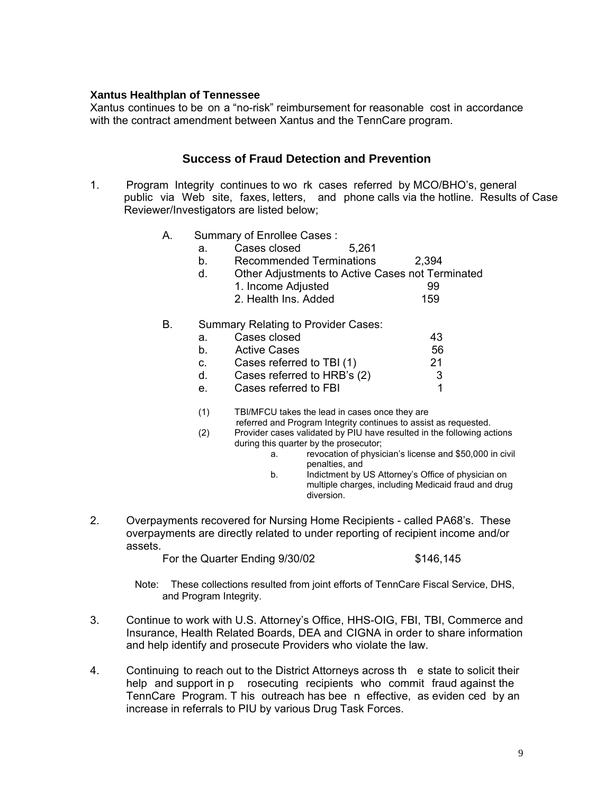## **Xantus Healthplan of Tennessee**

Xantus continues to be on a "no-risk" reimbursement for reasonable cost in accordance with the contract amendment between Xantus and the TennCare program.

## **Success of Fraud Detection and Prevention**

- 1. Program Integrity continues to wo rk cases referred by MCO/BHO's, general public via Web site, faxes, letters, and phone calls via the hotline. Results of Case Reviewer/Investigators are listed below;
	- A. Summary of Enrollee Cases :
		- a. Cases closed 5,261
		- b. Recommended Terminations 2,394
		- d. Other Adjustments to Active Cases not Terminated
			- 1. Income Adjusted 99
			- 2. Health Ins. Added
	- B. Summary Relating to Provider Cases:

| а.      | Cases closed                | 43 |
|---------|-----------------------------|----|
| b.      | <b>Active Cases</b>         | 56 |
| C.      | Cases referred to TBI (1)   | 21 |
| d.      | Cases referred to HRB's (2) |    |
| $e_{-}$ | Cases referred to FBI       |    |
|         |                             |    |

- (1) TBI/MFCU takes the lead in cases once they are
	- referred and Program Integrity continues to assist as requested.
- (2) Provider cases validated by PIU have resulted in the following actions during this quarter by the prosecutor;<br>a. revocation of physic
	- revocation of physician's license and \$50,000 in civil penalties, and
	- b. Indictment by US Attorney's Office of physician on multiple charges, including Medicaid fraud and drug diversion.
- 2. Overpayments recovered for Nursing Home Recipients called PA68's. These overpayments are directly related to under reporting of recipient income and/or assets.

For the Quarter Ending 9/30/02 \$146,145

Note: These collections resulted from joint efforts of TennCare Fiscal Service, DHS, and Program Integrity.

- 3. Continue to work with U.S. Attorney's Office, HHS-OIG, FBI, TBI, Commerce and Insurance, Health Related Boards, DEA and CIGNA in order to share information and help identify and prosecute Providers who violate the law.
- 4. Continuing to reach out to the District Attorneys across th e state to solicit their help and support in p rosecuting recipients who commit fraud against the TennCare Program. T his outreach has bee n effective, as eviden ced by an increase in referrals to PIU by various Drug Task Forces.